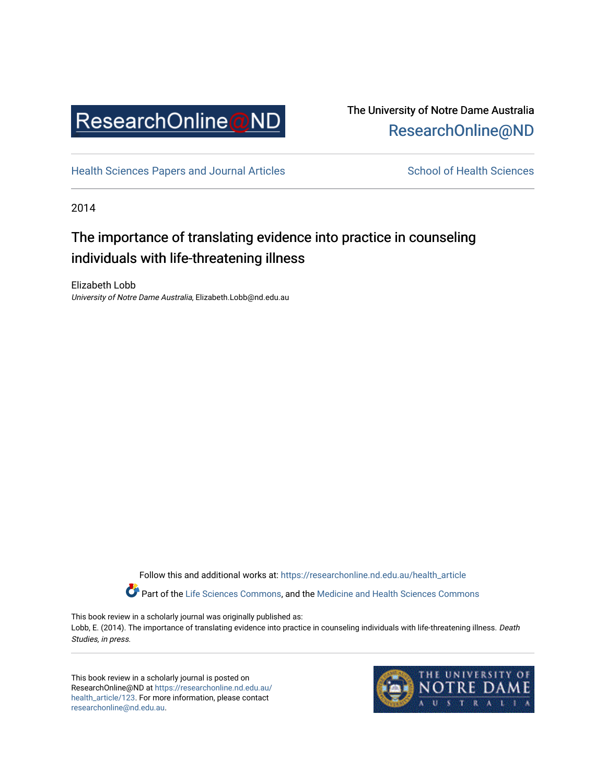

## The University of Notre Dame Australia [ResearchOnline@ND](https://researchonline.nd.edu.au/)

[Health Sciences Papers and Journal Articles](https://researchonline.nd.edu.au/health_article) School of Health Sciences

2014

# The importance of translating evidence into practice in counseling individuals with life-threatening illness

Elizabeth Lobb University of Notre Dame Australia, Elizabeth.Lobb@nd.edu.au

> Follow this and additional works at: [https://researchonline.nd.edu.au/health\\_article](https://researchonline.nd.edu.au/health_article?utm_source=researchonline.nd.edu.au%2Fhealth_article%2F123&utm_medium=PDF&utm_campaign=PDFCoverPages) Part of the [Life Sciences Commons](http://network.bepress.com/hgg/discipline/1016?utm_source=researchonline.nd.edu.au%2Fhealth_article%2F123&utm_medium=PDF&utm_campaign=PDFCoverPages), and the [Medicine and Health Sciences Commons](http://network.bepress.com/hgg/discipline/648?utm_source=researchonline.nd.edu.au%2Fhealth_article%2F123&utm_medium=PDF&utm_campaign=PDFCoverPages)

This book review in a scholarly journal was originally published as: Lobb, E. (2014). The importance of translating evidence into practice in counseling individuals with life-threatening illness. Death Studies, in press.

This book review in a scholarly journal is posted on ResearchOnline@ND at [https://researchonline.nd.edu.au/](https://researchonline.nd.edu.au/health_article/123) [health\\_article/123.](https://researchonline.nd.edu.au/health_article/123) For more information, please contact [researchonline@nd.edu.au.](mailto:researchonline@nd.edu.au)

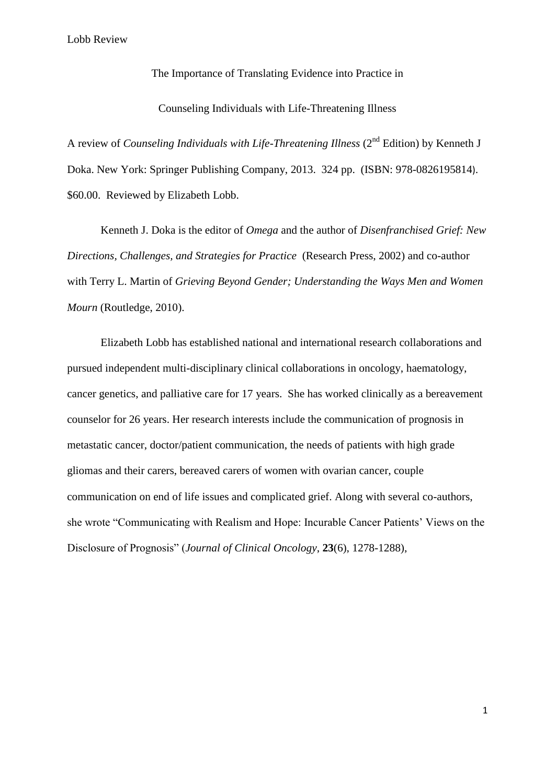The Importance of Translating Evidence into Practice in

Counseling Individuals with Life-Threatening Illness

A review of *Counseling Individuals with Life-Threatening Illness* (2nd Edition) by Kenneth J Doka. New York: Springer Publishing Company, 2013. 324 pp. (ISBN: 978-0826195814). \$60.00. Reviewed by Elizabeth Lobb.

Kenneth J. Doka is the editor of *Omega* and the author of *Disenfranchised Grief: New Directions, Challenges, and Strategies for Practice* (Research Press, 2002) and co-author with Terry L. Martin of *Grieving Beyond Gender; Understanding the Ways Men and Women Mourn* (Routledge, 2010).

Elizabeth Lobb has established national and international research collaborations and pursued independent multi-disciplinary clinical collaborations in oncology, haematology, cancer genetics, and palliative care for 17 years. She has worked clinically as a bereavement counselor for 26 years. Her research interests include the communication of prognosis in metastatic cancer, doctor/patient communication, the needs of patients with high grade gliomas and their carers, bereaved carers of women with ovarian cancer, couple communication on end of life issues and complicated grief. Along with several co-authors, she wrote "Communicating with Realism and Hope: Incurable Cancer Patients' Views on the Disclosure of Prognosis" (*Journal of Clinical Oncology*, **23**(6), 1278-1288),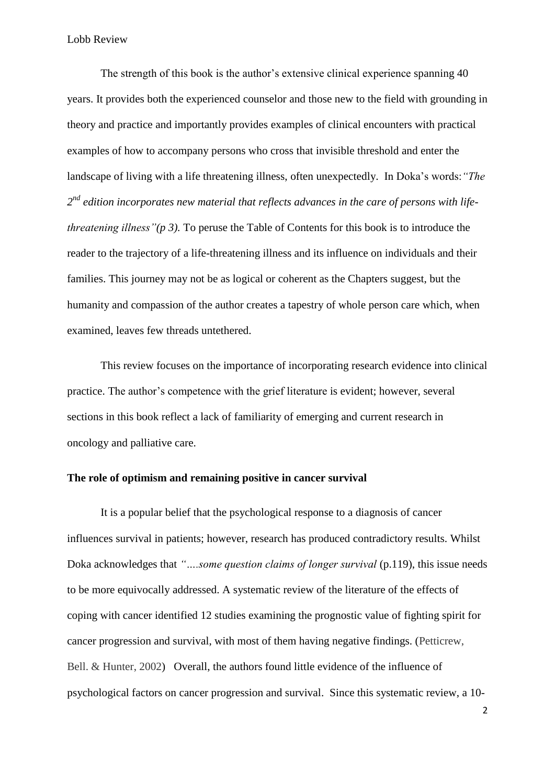The strength of this book is the author's extensive clinical experience spanning 40 years. It provides both the experienced counselor and those new to the field with grounding in theory and practice and importantly provides examples of clinical encounters with practical examples of how to accompany persons who cross that invisible threshold and enter the landscape of living with a life threatening illness, often unexpectedly. In Doka's words:*"The 2 nd edition incorporates new material that reflects advances in the care of persons with lifethreatening illness"(p 3).* To peruse the Table of Contents for this book is to introduce the reader to the trajectory of a life-threatening illness and its influence on individuals and their families. This journey may not be as logical or coherent as the Chapters suggest, but the humanity and compassion of the author creates a tapestry of whole person care which, when examined, leaves few threads untethered.

This review focuses on the importance of incorporating research evidence into clinical practice. The author's competence with the grief literature is evident; however, several sections in this book reflect a lack of familiarity of emerging and current research in oncology and palliative care.

### **The role of optimism and remaining positive in cancer survival**

It is a popular belief that the psychological response to a diagnosis of cancer influences survival in patients; however, research has produced contradictory results. Whilst Doka acknowledges that *"….some question claims of longer survival* (p.119), this issue needs to be more equivocally addressed. A systematic review of the literature of the effects of coping with cancer identified 12 studies examining the prognostic value of fighting spirit for cancer progression and survival, with most of them having negative findings. (Petticrew, Bell. & Hunter, 2002) Overall, the authors found little evidence of the influence of psychological factors on cancer progression and survival. Since this systematic review, a 10-

2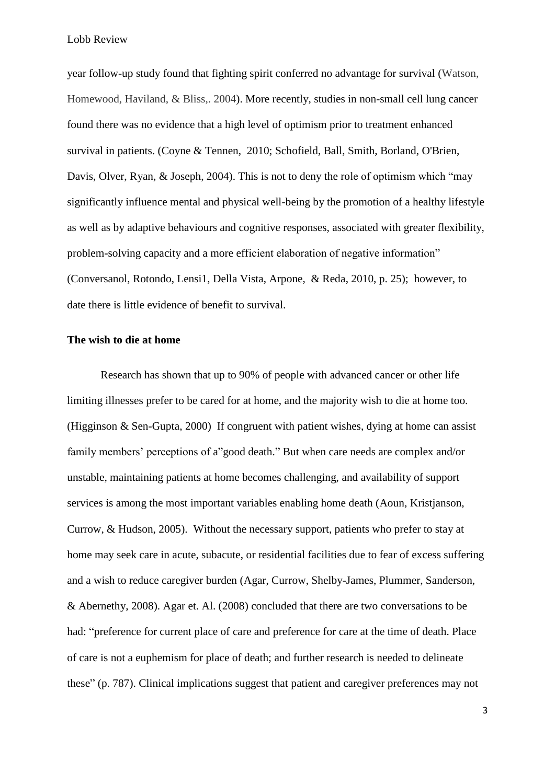year follow-up study found that fighting spirit conferred no advantage for survival (Watson, Homewood, Haviland, & Bliss,. 2004). More recently, studies in non-small cell lung cancer found there was no evidence that a high level of optimism prior to treatment enhanced survival in patients. (Coyne & Tennen, 2010; [Schofield,](http://www.ncbi.nlm.nih.gov/pubmed?term=Schofield%20P%5BAuthor%5D&cauthor=true&cauthor_uid=15022297) [Ball,](http://www.ncbi.nlm.nih.gov/pubmed?term=Schofield%20P%5BAuthor%5D&cauthor=true&cauthor_uid=15022297) [Smith,](http://www.ncbi.nlm.nih.gov/pubmed?term=Smith%20JG%5BAuthor%5D&cauthor=true&cauthor_uid=15022297) [Borland,](http://www.ncbi.nlm.nih.gov/pubmed?term=Borland%20R%5BAuthor%5D&cauthor=true&cauthor_uid=15022297) [O'Brien,](http://www.ncbi.nlm.nih.gov/pubmed?term=Borland%20R%5BAuthor%5D&cauthor=true&cauthor_uid=15022297) [Davis,](http://www.ncbi.nlm.nih.gov/pubmed?term=Davis%20S%5BAuthor%5D&cauthor=true&cauthor_uid=15022297) [Olver,](http://www.ncbi.nlm.nih.gov/pubmed?term=Davis%20S%5BAuthor%5D&cauthor=true&cauthor_uid=15022297) [Ryan,](http://www.ncbi.nlm.nih.gov/pubmed?term=Ryan%20G%5BAuthor%5D&cauthor=true&cauthor_uid=15022297) & [Joseph,](http://www.ncbi.nlm.nih.gov/pubmed?term=Joseph%20D%5BAuthor%5D&cauthor=true&cauthor_uid=15022297) 2004). This is not to deny the role of optimism which "may significantly influence mental and physical well-being by the promotion of a healthy lifestyle as well as by adaptive behaviours and cognitive responses, associated with greater flexibility, problem-solving capacity and a more efficient elaboration of negative information" (Conversanol, Rotondo, Lensi1, Della Vista, Arpone, & Reda, 2010, p. 25); however, to date there is little evidence of benefit to survival.

#### **The wish to die at home**

Research has shown that up to 90% of people with advanced cancer or other life limiting illnesses prefer to be cared for at home, and the majority wish to die at home too. (Higginson & Sen-Gupta, 2000) If congruent with patient wishes, dying at home can assist family members' perceptions of a"good death." But when care needs are complex and/or unstable, maintaining patients at home becomes challenging, and availability of support services is among the most important variables enabling home death (Aoun, Kristjanson, Currow, & Hudson, 2005). Without the necessary support, patients who prefer to stay at home may seek care in acute, subacute, or residential facilities due to fear of excess suffering and a wish to reduce caregiver burden (Agar, Currow, Shelby-James, Plummer, Sanderson, & Abernethy, 2008). Agar et. Al. (2008) concluded that there are two conversations to be had: "preference for current place of care and preference for care at the time of death. Place of care is not a euphemism for place of death; and further research is needed to delineate these" (p. 787). Clinical implications suggest that patient and caregiver preferences may not

3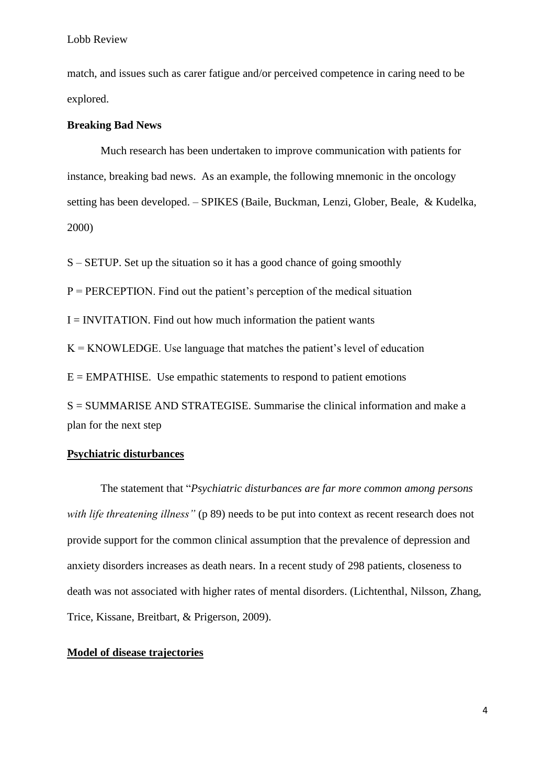match, and issues such as carer fatigue and/or perceived competence in caring need to be explored.

#### **Breaking Bad News**

Much research has been undertaken to improve communication with patients for instance, breaking bad news. As an example, the following mnemonic in the oncology setting has been developed. – SPIKES (Baile, Buckman, Lenzi, Glober, Beale, & Kudelka, 2000)

S – SETUP. Set up the situation so it has a good chance of going smoothly

 $P = PERCEPTION$ . Find out the patient's perception of the medical situation

 $I = INVITATION$ . Find out how much information the patient wants

 $K = KNOWLEDGE$ . Use language that matches the patient's level of education

 $E = EMPATHISE$ . Use empathic statements to respond to patient emotions

S = SUMMARISE AND STRATEGISE. Summarise the clinical information and make a plan for the next step

### **Psychiatric disturbances**

The statement that "*Psychiatric disturbances are far more common among persons with life threatening illness*" (p 89) needs to be put into context as recent research does not provide support for the common clinical assumption that the prevalence of depression and anxiety disorders increases as death nears. In a recent study of 298 patients, closeness to death was not associated with higher rates of mental disorders. (Lichtenthal, Nilsson, Zhang, Trice, Kissane, Breitbart, & Prigerson, 2009).

### **Model of disease trajectories**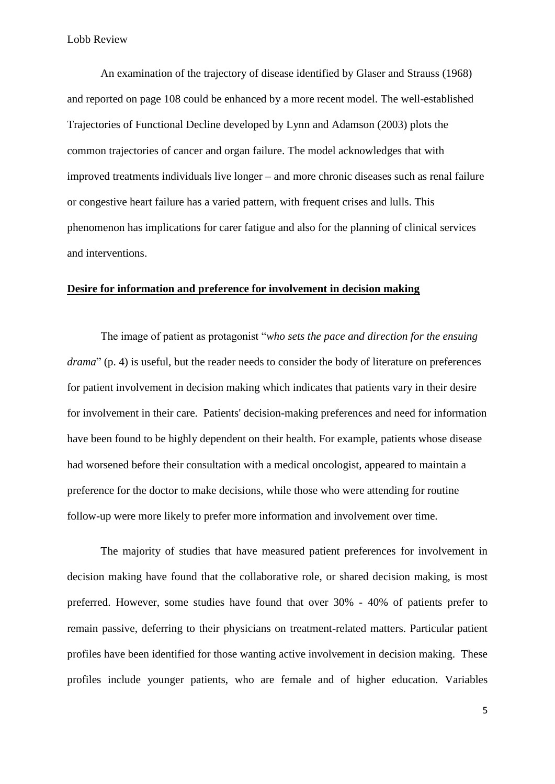An examination of the trajectory of disease identified by Glaser and Strauss (1968) and reported on page 108 could be enhanced by a more recent model. The well-established Trajectories of Functional Decline developed by Lynn and Adamson (2003) plots the common trajectories of cancer and organ failure. The model acknowledges that with improved treatments individuals live longer – and more chronic diseases such as renal failure or congestive heart failure has a varied pattern, with frequent crises and lulls. This phenomenon has implications for carer fatigue and also for the planning of clinical services and interventions.

#### **Desire for information and preference for involvement in decision making**

The image of patient as protagonist "*who sets the pace and direction for the ensuing drama*" (p. 4) is useful, but the reader needs to consider the body of literature on preferences for patient involvement in decision making which indicates that patients vary in their desire for involvement in their care. Patients' decision-making preferences and need for information have been found to be highly dependent on their health. For example, patients whose disease had worsened before their consultation with a medical oncologist, appeared to maintain a preference for the doctor to make decisions, while those who were attending for routine follow-up were more likely to prefer more information and involvement over time.

The majority of studies that have measured patient preferences for involvement in decision making have found that the collaborative role, or shared decision making, is most preferred. However, some studies have found that over 30% - 40% of patients prefer to remain passive, deferring to their physicians on treatment-related matters. Particular patient profiles have been identified for those wanting active involvement in decision making. These profiles include younger patients, who are female and of higher education. Variables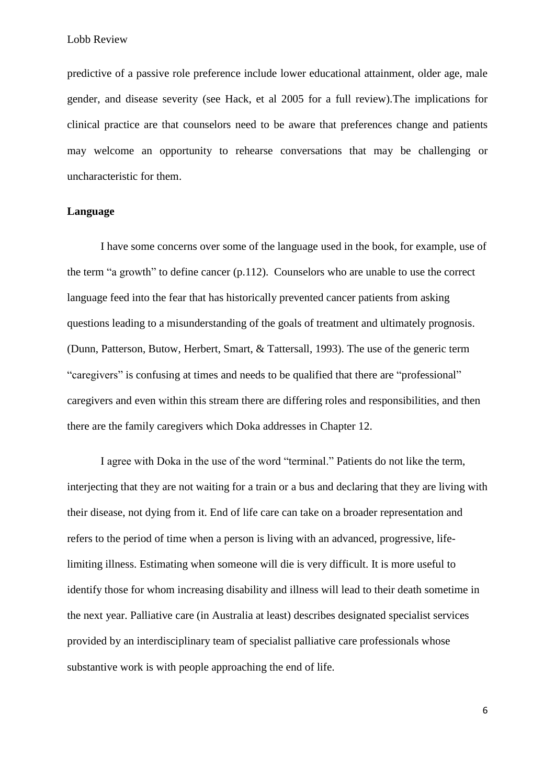predictive of a passive role preference include lower educational attainment, older age, male gender, and disease severity (see Hack, et al 2005 for a full review).The implications for clinical practice are that counselors need to be aware that preferences change and patients may welcome an opportunity to rehearse conversations that may be challenging or uncharacteristic for them.

#### **Language**

I have some concerns over some of the language used in the book, for example, use of the term "a growth" to define cancer (p.112). Counselors who are unable to use the correct language feed into the fear that has historically prevented cancer patients from asking questions leading to a misunderstanding of the goals of treatment and ultimately prognosis. (Dunn, Patterson, Butow, Herbert, Smart, & Tattersall, 1993). The use of the generic term "caregivers" is confusing at times and needs to be qualified that there are "professional" caregivers and even within this stream there are differing roles and responsibilities, and then there are the family caregivers which Doka addresses in Chapter 12.

I agree with Doka in the use of the word "terminal." Patients do not like the term, interjecting that they are not waiting for a train or a bus and declaring that they are living with their disease, not dying from it. End of life care can take on a broader representation and refers to the period of time when a person is living with an advanced, progressive, lifelimiting illness. Estimating when someone will die is very difficult. It is more useful to identify those for whom increasing disability and illness will lead to their death sometime in the next year. Palliative care (in Australia at least) describes designated specialist services provided by an interdisciplinary team of specialist palliative care professionals whose substantive work is with people approaching the end of life.

6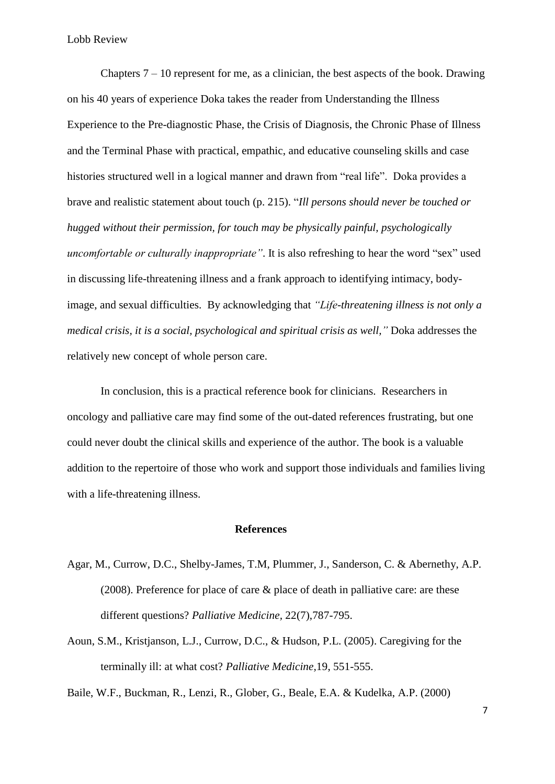Chapters  $7 - 10$  represent for me, as a clinician, the best aspects of the book. Drawing on his 40 years of experience Doka takes the reader from Understanding the Illness Experience to the Pre-diagnostic Phase, the Crisis of Diagnosis, the Chronic Phase of Illness and the Terminal Phase with practical, empathic, and educative counseling skills and case histories structured well in a logical manner and drawn from "real life". Doka provides a brave and realistic statement about touch (p. 215). "*Ill persons should never be touched or hugged without their permission, for touch may be physically painful, psychologically uncomfortable or culturally inappropriate"*. It is also refreshing to hear the word "sex" used in discussing life-threatening illness and a frank approach to identifying intimacy, bodyimage, and sexual difficulties. By acknowledging that *"Life-threatening illness is not only a medical crisis, it is a social, psychological and spiritual crisis as well,"* Doka addresses the relatively new concept of whole person care.

In conclusion, this is a practical reference book for clinicians. Researchers in oncology and palliative care may find some of the out-dated references frustrating, but one could never doubt the clinical skills and experience of the author. The book is a valuable addition to the repertoire of those who work and support those individuals and families living with a life-threatening illness.

#### **References**

- Agar, M., Currow, D.C., Shelby-James, T.M, Plummer, J., Sanderson, C. & Abernethy, A.P. (2008). Preference for place of care & place of death in palliative care: are these different questions? *Palliative Medicine,* 22(7),787-795.
- Aoun, S.M., Kristjanson, L.J., Currow, D.C., & Hudson, P.L. (2005). Caregiving for the terminally ill: at what cost? *Palliative Medicine,*19, 551-555.

Baile, W.F., Buckman, R., Lenzi, R., Glober, G., Beale, E.A. & Kudelka, A.P. (2000)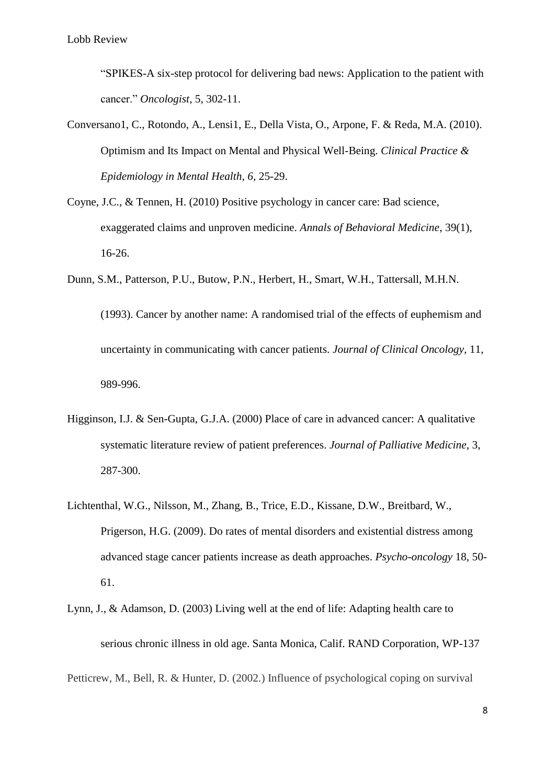"SPIKES-A six-step protocol for delivering bad news: Application to the patient with cancer." *Oncologist*, 5, 302-11.

- Conversano1, C., Rotondo, A., Lensi1, E., Della Vista, O., Arpone, F. & Reda, M.A. (2010). Optimism and Its Impact on Mental and Physical Well-Being. *Clinical Practice & Epidemiology in Mental Health, 6,* 25-29.
- Coyne, J.C., & Tennen, H. (2010) Positive psychology in cancer care: Bad science, exaggerated claims and unproven medicine. *Annals of Behavioral Medicine*, 39(1), 16-26.
- Dunn, S.M., Patterson, P.U., Butow, P.N., Herbert, H., Smart, W.H., Tattersall, M.H.N. (1993). Cancer by another name: A randomised trial of the effects of euphemism and uncertainty in communicating with cancer patients. *Journal of Clinical Oncology,* 11, 989-996.
- Higginson, I.J. & Sen-Gupta, G.J.A. (2000) Place of care in advanced cancer: A qualitative systematic literature review of patient preferences. *Journal of Palliative Medicine,* 3, 287-300.
- Lichtenthal, W.G., Nilsson, M., Zhang, B., Trice, E.D., Kissane, D.W., Breitbard, W., Prigerson, H.G. (2009). Do rates of mental disorders and existential distress among advanced stage cancer patients increase as death approaches. *Psycho-oncology* 18, 50- 61.
- Lynn, J., & Adamson, D. (2003) Living well at the end of life: Adapting health care to serious chronic illness in old age. Santa Monica, Calif. RAND Corporation, WP-137

Petticrew, M., Bell, R. & Hunter, D. (2002.) Influence of psychological coping on survival